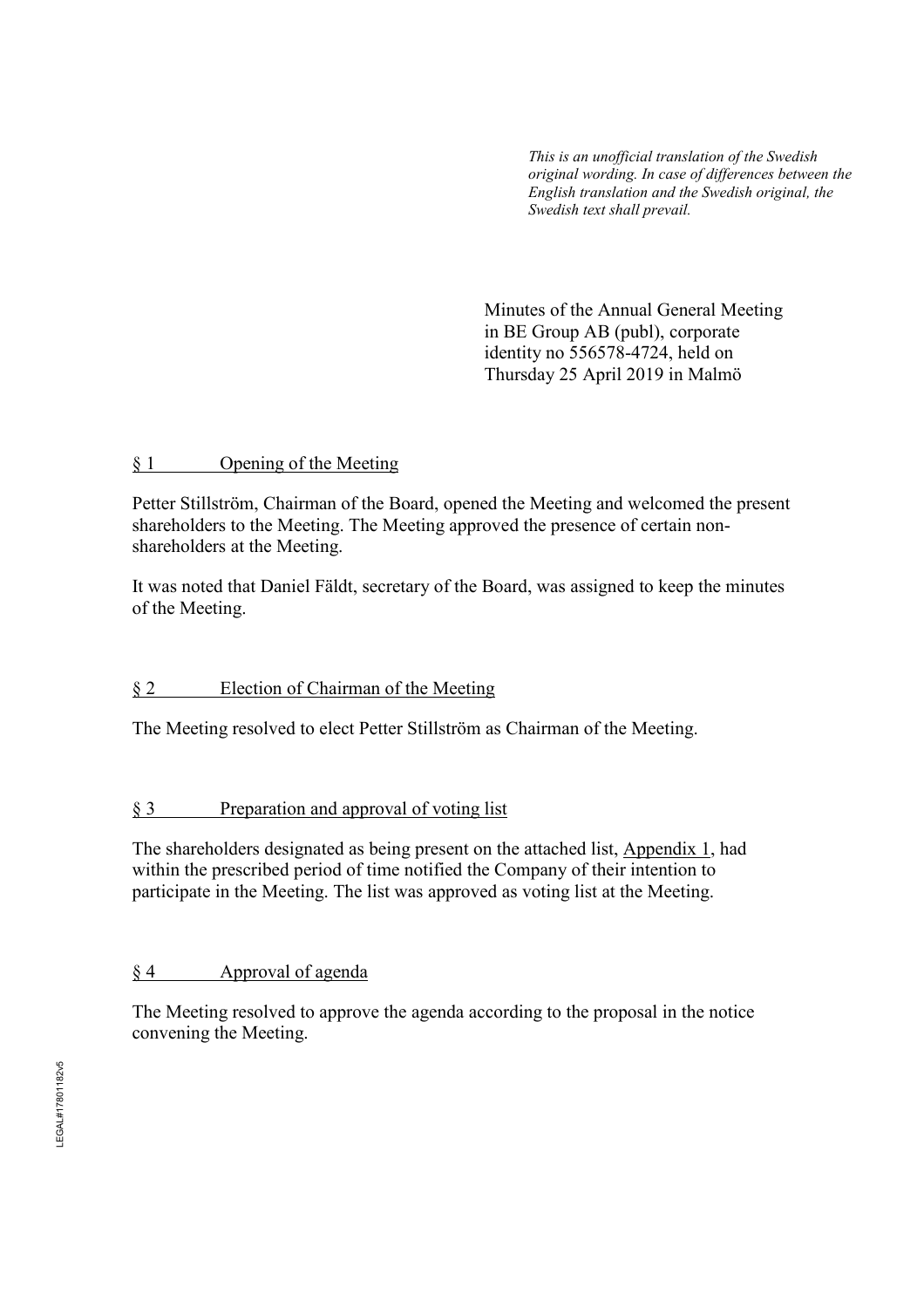*This is an unofficial translation of the Swedish original wording. In case of differences between the English translation and the Swedish original, the Swedish text shall prevail.* 

 Minutes of the Annual General Meeting in BE Group AB (publ), corporate identity no 556578-4724, held on Thursday 25 April 2019 in Malmö

### § 1 Opening of the Meeting

Petter Stillström, Chairman of the Board, opened the Meeting and welcomed the present shareholders to the Meeting. The Meeting approved the presence of certain nonshareholders at the Meeting.

It was noted that Daniel Fäldt, secretary of the Board, was assigned to keep the minutes of the Meeting.

# § 2 Election of Chairman of the Meeting

The Meeting resolved to elect Petter Stillström as Chairman of the Meeting.

# § 3 Preparation and approval of voting list

The shareholders designated as being present on the attached list, Appendix 1, had within the prescribed period of time notified the Company of their intention to participate in the Meeting. The list was approved as voting list at the Meeting.

# § 4 Approval of agenda

The Meeting resolved to approve the agenda according to the proposal in the notice convening the Meeting.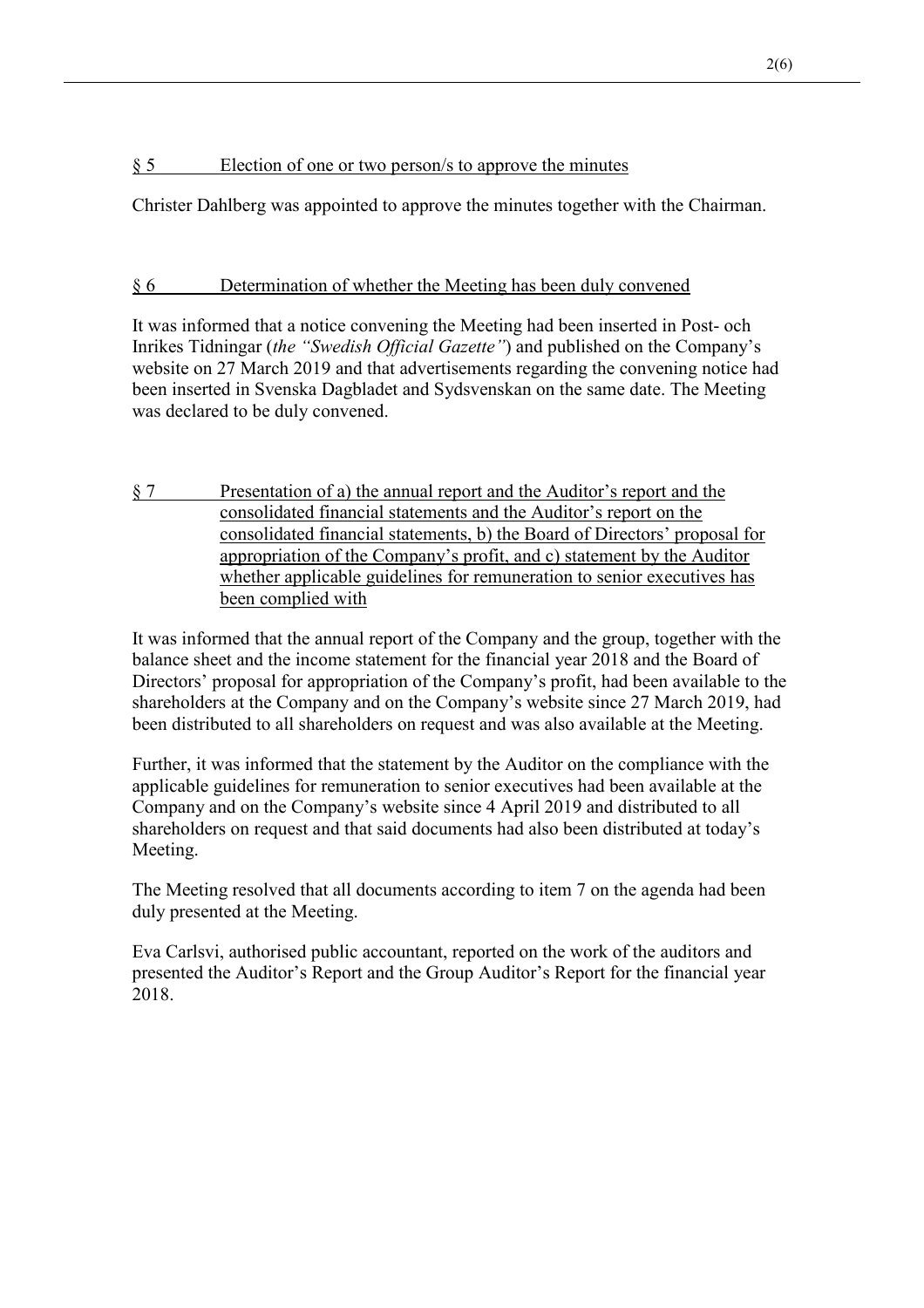# § 5 Election of one or two person/s to approve the minutes

Christer Dahlberg was appointed to approve the minutes together with the Chairman.

# § 6 Determination of whether the Meeting has been duly convened

It was informed that a notice convening the Meeting had been inserted in Post- och Inrikes Tidningar (*the "Swedish Official Gazette"*) and published on the Company's website on 27 March 2019 and that advertisements regarding the convening notice had been inserted in Svenska Dagbladet and Sydsvenskan on the same date. The Meeting was declared to be duly convened.

§ 7 Presentation of a) the annual report and the Auditor's report and the consolidated financial statements and the Auditor's report on the consolidated financial statements, b) the Board of Directors' proposal for appropriation of the Company's profit, and c) statement by the Auditor whether applicable guidelines for remuneration to senior executives has been complied with

It was informed that the annual report of the Company and the group, together with the balance sheet and the income statement for the financial year 2018 and the Board of Directors' proposal for appropriation of the Company's profit, had been available to the shareholders at the Company and on the Company's website since 27 March 2019, had been distributed to all shareholders on request and was also available at the Meeting.

Further, it was informed that the statement by the Auditor on the compliance with the applicable guidelines for remuneration to senior executives had been available at the Company and on the Company's website since 4 April 2019 and distributed to all shareholders on request and that said documents had also been distributed at today's Meeting.

The Meeting resolved that all documents according to item 7 on the agenda had been duly presented at the Meeting.

Eva Carlsvi, authorised public accountant, reported on the work of the auditors and presented the Auditor's Report and the Group Auditor's Report for the financial year 2018.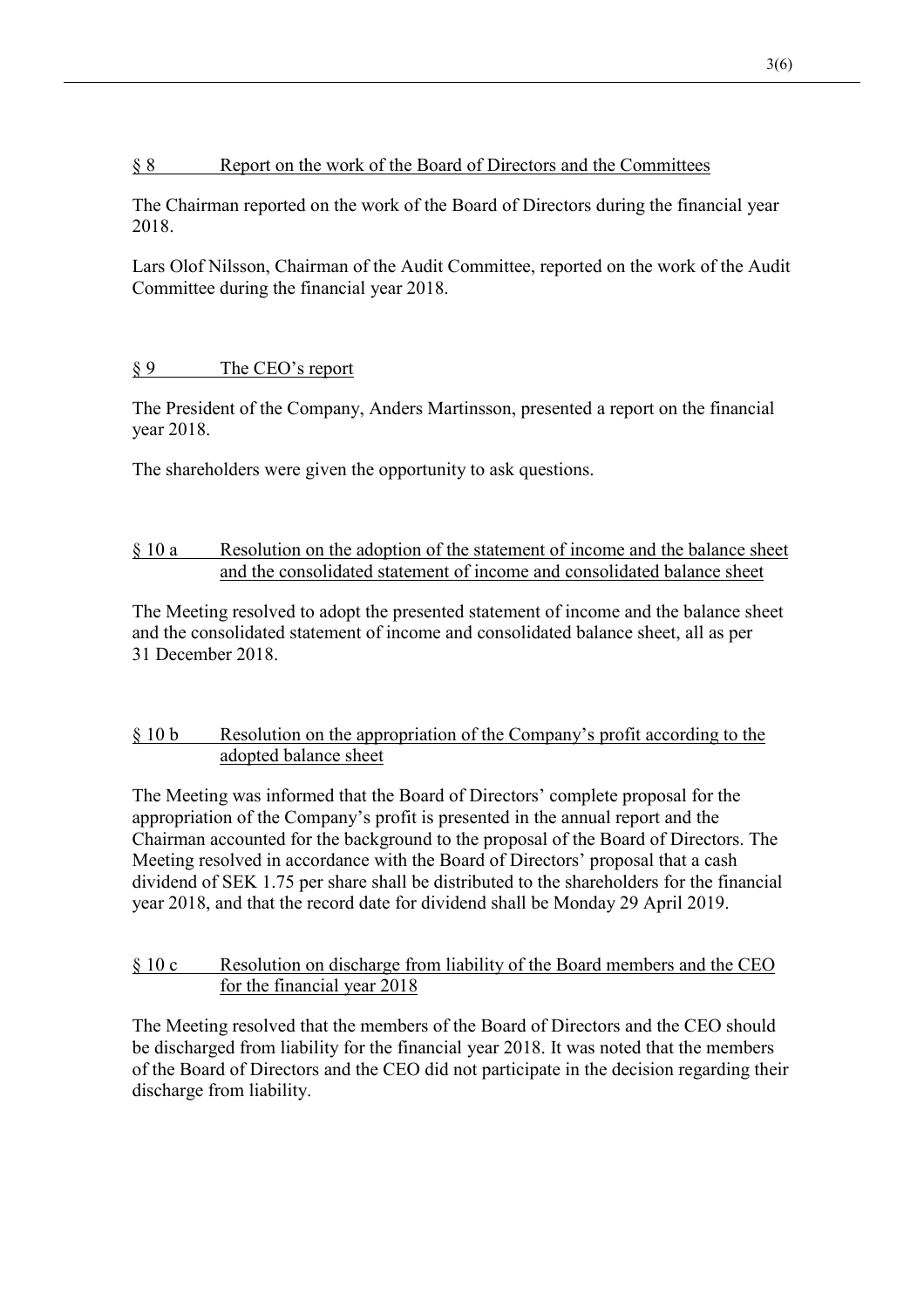#### § 8 Report on the work of the Board of Directors and the Committees

The Chairman reported on the work of the Board of Directors during the financial year 2018.

Lars Olof Nilsson, Chairman of the Audit Committee, reported on the work of the Audit Committee during the financial year 2018.

# § 9 The CEO's report

The President of the Company, Anders Martinsson, presented a report on the financial year 2018.

The shareholders were given the opportunity to ask questions.

# § 10 a Resolution on the adoption of the statement of income and the balance sheet and the consolidated statement of income and consolidated balance sheet

The Meeting resolved to adopt the presented statement of income and the balance sheet and the consolidated statement of income and consolidated balance sheet, all as per 31 December 2018.

# § 10 b Resolution on the appropriation of the Company's profit according to the adopted balance sheet

The Meeting was informed that the Board of Directors' complete proposal for the appropriation of the Company's profit is presented in the annual report and the Chairman accounted for the background to the proposal of the Board of Directors. The Meeting resolved in accordance with the Board of Directors' proposal that a cash dividend of SEK 1.75 per share shall be distributed to the shareholders for the financial year 2018, and that the record date for dividend shall be Monday 29 April 2019.

### § 10 c Resolution on discharge from liability of the Board members and the CEO for the financial year 2018

The Meeting resolved that the members of the Board of Directors and the CEO should be discharged from liability for the financial year 2018. It was noted that the members of the Board of Directors and the CEO did not participate in the decision regarding their discharge from liability.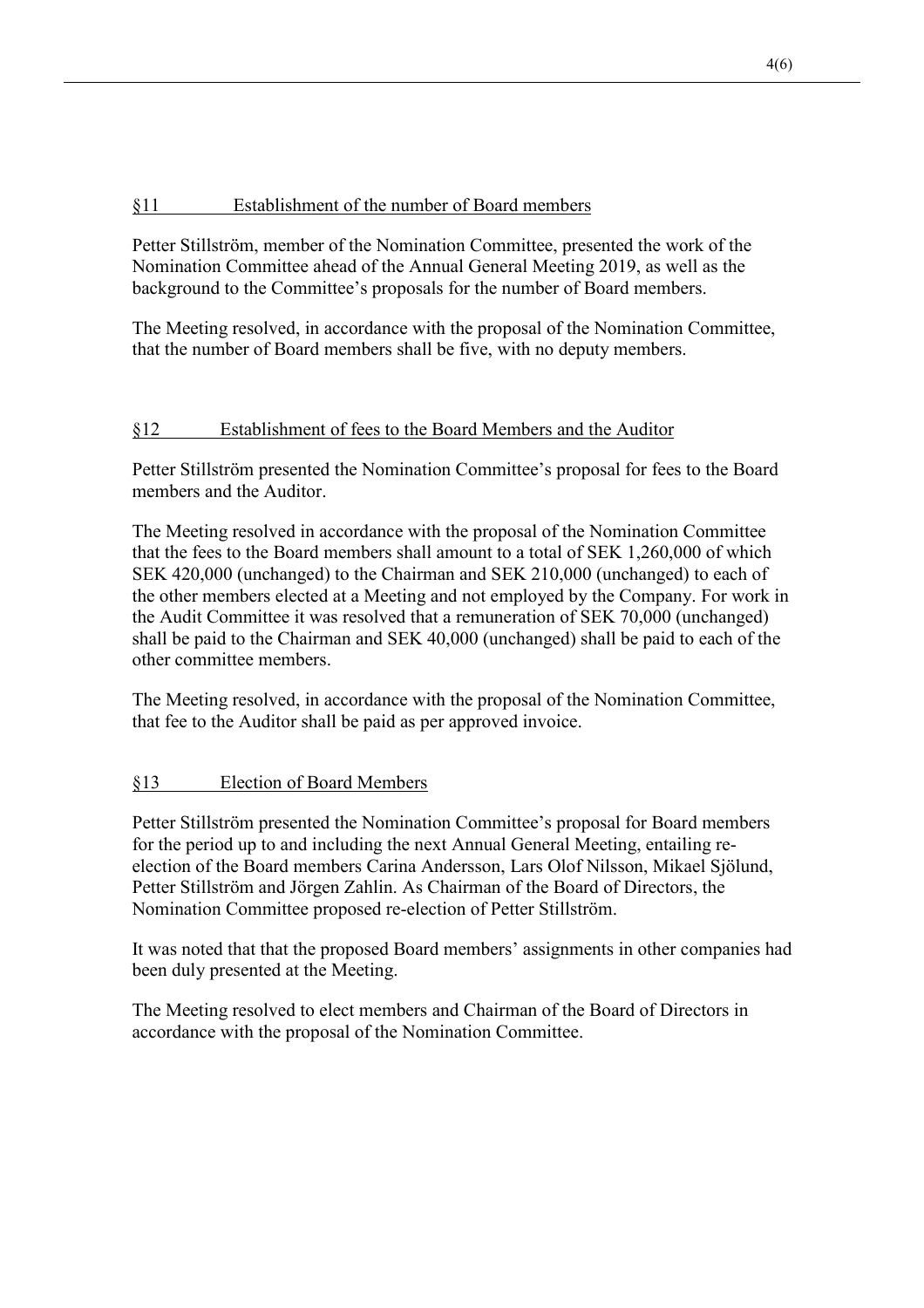# §11 Establishment of the number of Board members

Petter Stillström, member of the Nomination Committee, presented the work of the Nomination Committee ahead of the Annual General Meeting 2019, as well as the background to the Committee's proposals for the number of Board members.

The Meeting resolved, in accordance with the proposal of the Nomination Committee, that the number of Board members shall be five, with no deputy members.

### §12 Establishment of fees to the Board Members and the Auditor

Petter Stillström presented the Nomination Committee's proposal for fees to the Board members and the Auditor.

The Meeting resolved in accordance with the proposal of the Nomination Committee that the fees to the Board members shall amount to a total of SEK 1,260,000 of which SEK 420,000 (unchanged) to the Chairman and SEK 210,000 (unchanged) to each of the other members elected at a Meeting and not employed by the Company. For work in the Audit Committee it was resolved that a remuneration of SEK 70,000 (unchanged) shall be paid to the Chairman and SEK 40,000 (unchanged) shall be paid to each of the other committee members.

The Meeting resolved, in accordance with the proposal of the Nomination Committee, that fee to the Auditor shall be paid as per approved invoice.

#### §13 Election of Board Members

Petter Stillström presented the Nomination Committee's proposal for Board members for the period up to and including the next Annual General Meeting, entailing reelection of the Board members Carina Andersson, Lars Olof Nilsson, Mikael Sjölund, Petter Stillström and Jörgen Zahlin. As Chairman of the Board of Directors, the Nomination Committee proposed re-election of Petter Stillström.

It was noted that that the proposed Board members' assignments in other companies had been duly presented at the Meeting.

The Meeting resolved to elect members and Chairman of the Board of Directors in accordance with the proposal of the Nomination Committee.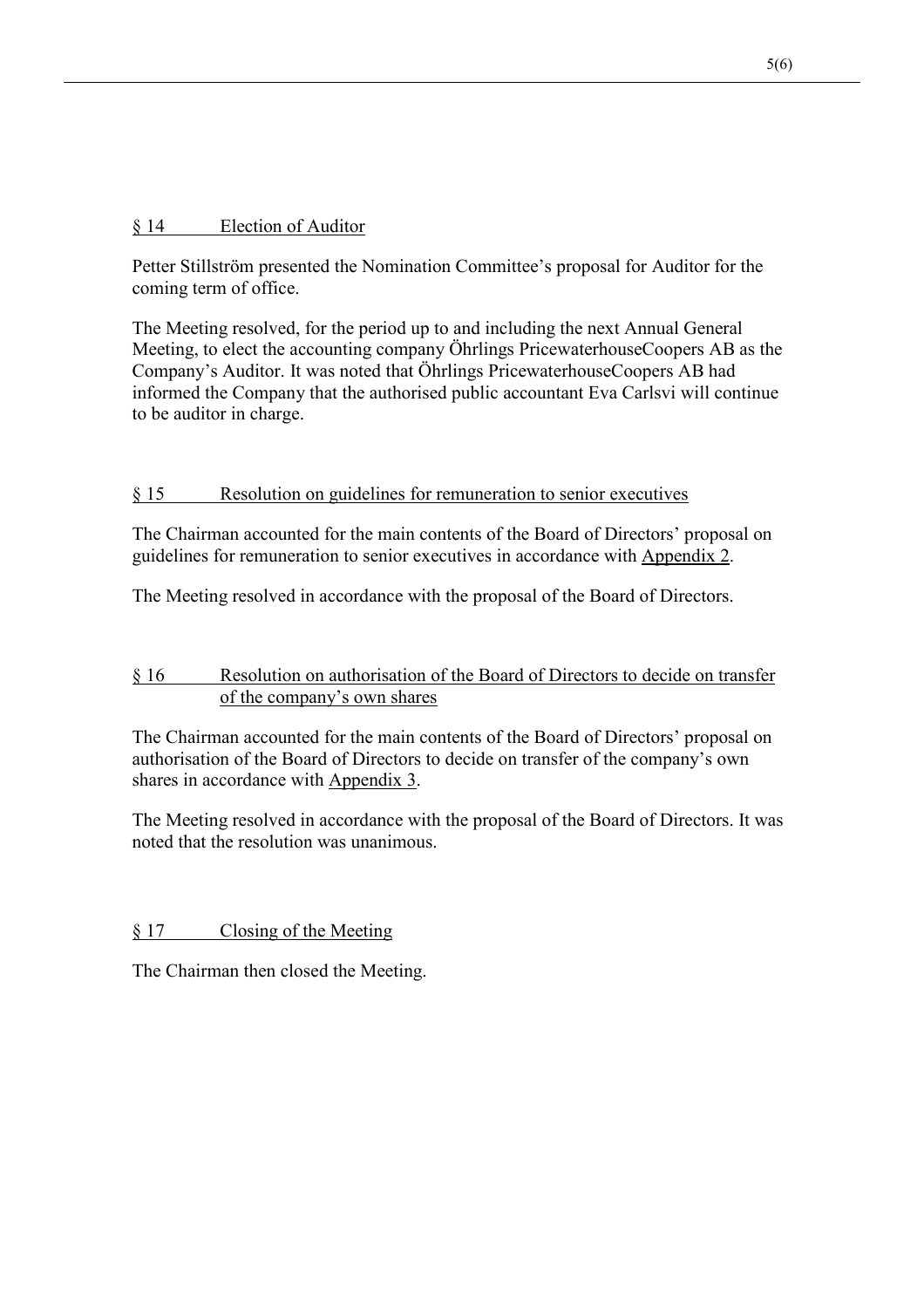### § 14 Election of Auditor

Petter Stillström presented the Nomination Committee's proposal for Auditor for the coming term of office.

The Meeting resolved, for the period up to and including the next Annual General Meeting, to elect the accounting company Öhrlings PricewaterhouseCoopers AB as the Company's Auditor. It was noted that Öhrlings PricewaterhouseCoopers AB had informed the Company that the authorised public accountant Eva Carlsvi will continue to be auditor in charge.

### § 15 Resolution on guidelines for remuneration to senior executives

The Chairman accounted for the main contents of the Board of Directors' proposal on guidelines for remuneration to senior executives in accordance with Appendix 2.

The Meeting resolved in accordance with the proposal of the Board of Directors.

# § 16 Resolution on authorisation of the Board of Directors to decide on transfer of the company's own shares

The Chairman accounted for the main contents of the Board of Directors' proposal on authorisation of the Board of Directors to decide on transfer of the company's own shares in accordance with Appendix 3.

The Meeting resolved in accordance with the proposal of the Board of Directors. It was noted that the resolution was unanimous.

§ 17 Closing of the Meeting

The Chairman then closed the Meeting.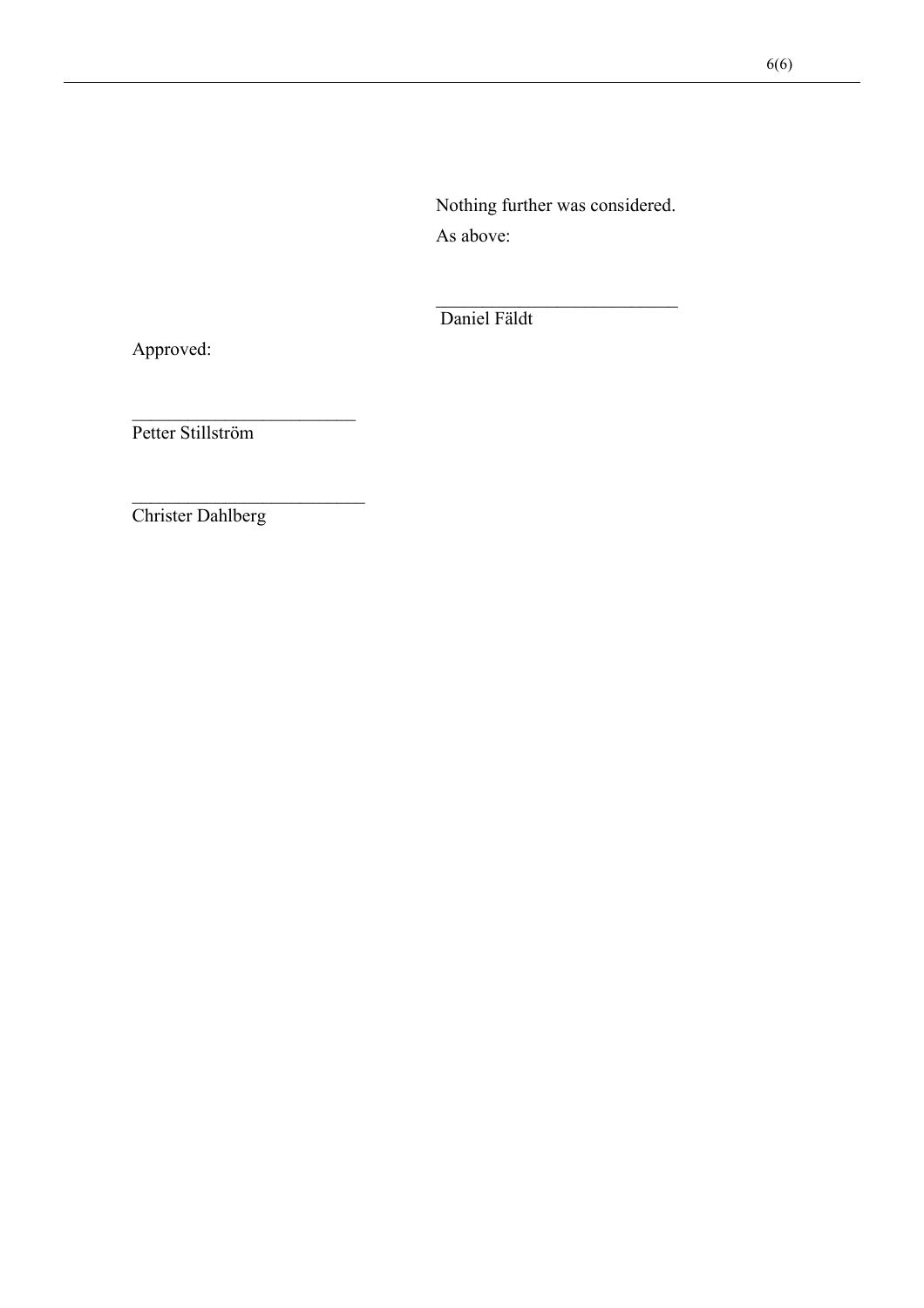Nothing further was considered. As above:

Daniel Fäldt

Approved:

Petter Stillström

Christer Dahlberg

 $\frac{1}{2}$  ,  $\frac{1}{2}$  ,  $\frac{1}{2}$  ,  $\frac{1}{2}$  ,  $\frac{1}{2}$  ,  $\frac{1}{2}$  ,  $\frac{1}{2}$  ,  $\frac{1}{2}$  ,  $\frac{1}{2}$  ,  $\frac{1}{2}$  ,  $\frac{1}{2}$  ,  $\frac{1}{2}$  ,  $\frac{1}{2}$  ,  $\frac{1}{2}$  ,  $\frac{1}{2}$  ,  $\frac{1}{2}$  ,  $\frac{1}{2}$  ,  $\frac{1}{2}$  ,  $\frac{1$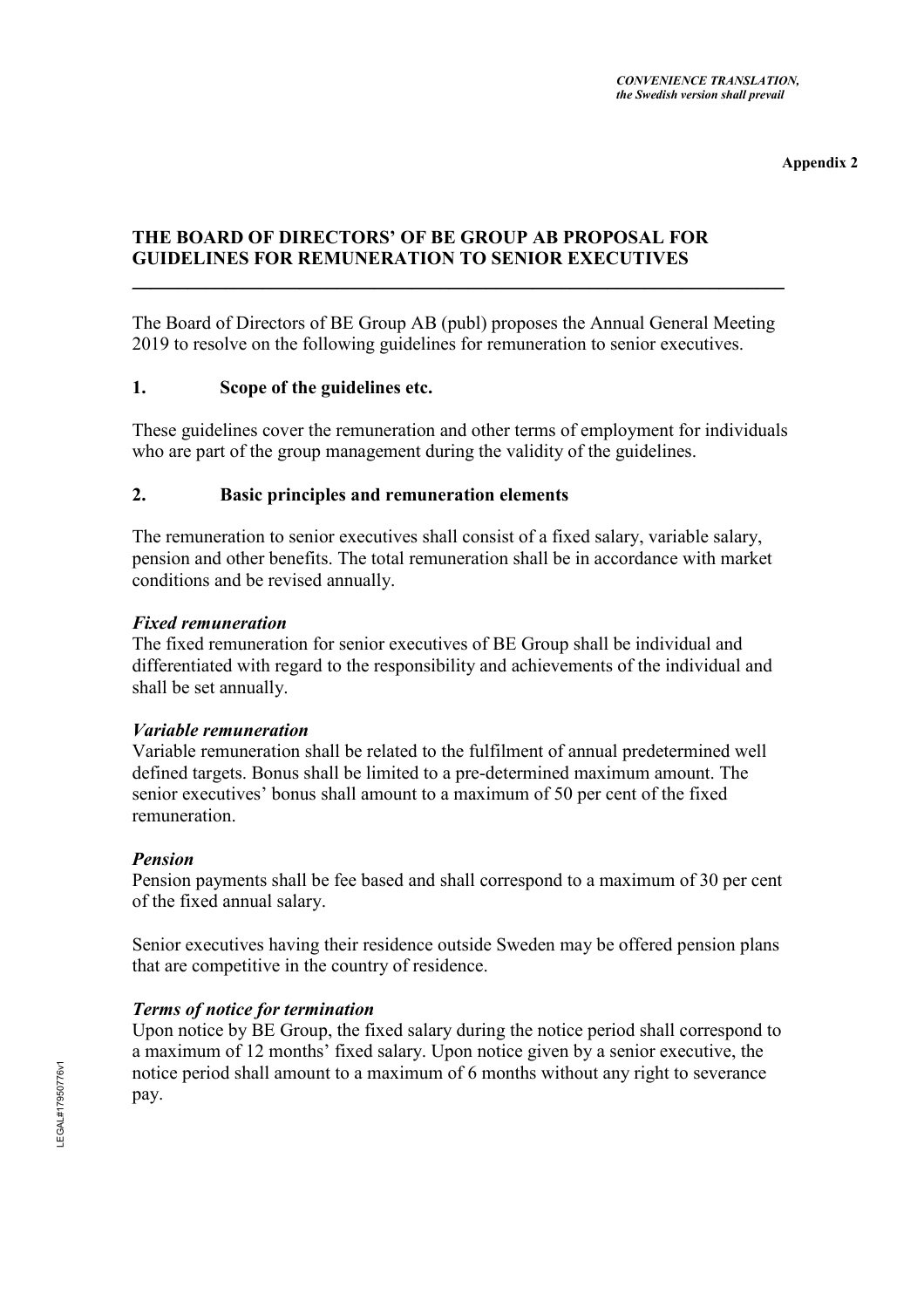**Appendix 2** 

# **THE BOARD OF DIRECTORS' OF BE GROUP AB PROPOSAL FOR GUIDELINES FOR REMUNERATION TO SENIOR EXECUTIVES**

The Board of Directors of BE Group AB (publ) proposes the Annual General Meeting 2019 to resolve on the following guidelines for remuneration to senior executives.

\_\_\_\_\_\_\_\_\_\_\_\_\_\_\_\_\_\_\_\_\_\_\_\_\_\_\_\_\_\_\_\_\_\_\_\_\_\_\_\_\_\_\_\_\_\_\_\_\_\_\_\_\_\_\_\_\_\_\_\_\_\_\_\_\_\_\_\_\_\_

### **1. Scope of the guidelines etc.**

These guidelines cover the remuneration and other terms of employment for individuals who are part of the group management during the validity of the guidelines.

#### **2. Basic principles and remuneration elements**

The remuneration to senior executives shall consist of a fixed salary, variable salary, pension and other benefits. The total remuneration shall be in accordance with market conditions and be revised annually.

#### *Fixed remuneration*

The fixed remuneration for senior executives of BE Group shall be individual and differentiated with regard to the responsibility and achievements of the individual and shall be set annually.

#### *Variable remuneration*

Variable remuneration shall be related to the fulfilment of annual predetermined well defined targets. Bonus shall be limited to a pre-determined maximum amount. The senior executives' bonus shall amount to a maximum of 50 per cent of the fixed remuneration.

#### *Pension*

Pension payments shall be fee based and shall correspond to a maximum of 30 per cent of the fixed annual salary.

Senior executives having their residence outside Sweden may be offered pension plans that are competitive in the country of residence.

# *Terms of notice for termination*

Upon notice by BE Group, the fixed salary during the notice period shall correspond to a maximum of 12 months' fixed salary. Upon notice given by a senior executive, the notice period shall amount to a maximum of 6 months without any right to severance pay.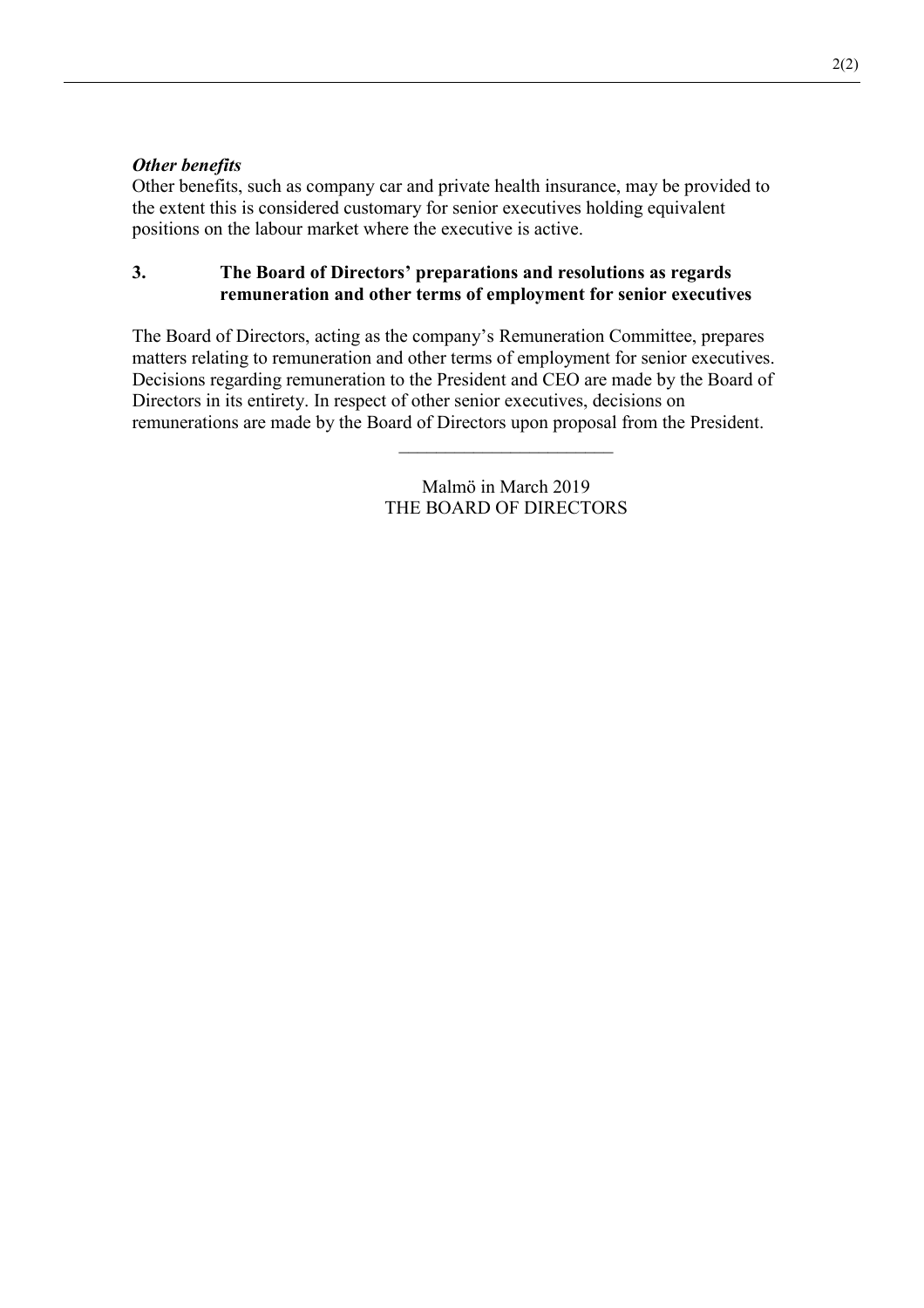### *Other benefits*

Other benefits, such as company car and private health insurance, may be provided to the extent this is considered customary for senior executives holding equivalent positions on the labour market where the executive is active.

### **3. The Board of Directors' preparations and resolutions as regards remuneration and other terms of employment for senior executives**

The Board of Directors, acting as the company's Remuneration Committee, prepares matters relating to remuneration and other terms of employment for senior executives. Decisions regarding remuneration to the President and CEO are made by the Board of Directors in its entirety. In respect of other senior executives, decisions on remunerations are made by the Board of Directors upon proposal from the President.

> Malmö in March 2019 THE BOARD OF DIRECTORS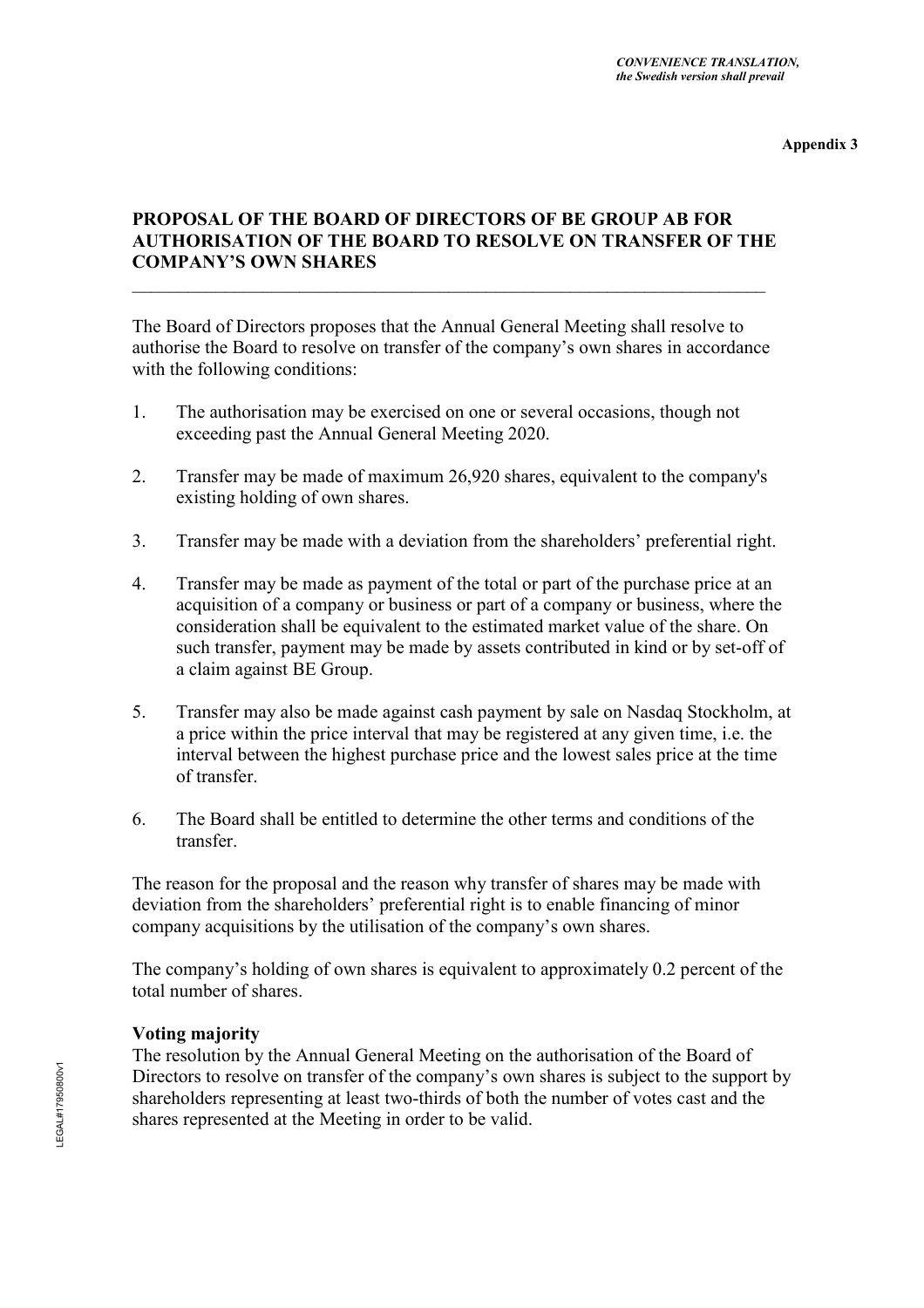**Appendix 3** 

# **PROPOSAL OF THE BOARD OF DIRECTORS OF BE GROUP AB FOR AUTHORISATION OF THE BOARD TO RESOLVE ON TRANSFER OF THE COMPANY'S OWN SHARES**

The Board of Directors proposes that the Annual General Meeting shall resolve to authorise the Board to resolve on transfer of the company's own shares in accordance with the following conditions:

- 1. The authorisation may be exercised on one or several occasions, though not exceeding past the Annual General Meeting 2020.
- 2. Transfer may be made of maximum 26,920 shares, equivalent to the company's existing holding of own shares.
- 3. Transfer may be made with a deviation from the shareholders' preferential right.
- 4. Transfer may be made as payment of the total or part of the purchase price at an acquisition of a company or business or part of a company or business, where the consideration shall be equivalent to the estimated market value of the share. On such transfer, payment may be made by assets contributed in kind or by set-off of a claim against BE Group.
- 5. Transfer may also be made against cash payment by sale on Nasdaq Stockholm, at a price within the price interval that may be registered at any given time, i.e. the interval between the highest purchase price and the lowest sales price at the time of transfer.
- 6. The Board shall be entitled to determine the other terms and conditions of the transfer.

The reason for the proposal and the reason why transfer of shares may be made with deviation from the shareholders' preferential right is to enable financing of minor company acquisitions by the utilisation of the company's own shares.

The company's holding of own shares is equivalent to approximately 0.2 percent of the total number of shares.

#### **Voting majority**

The resolution by the Annual General Meeting on the authorisation of the Board of Directors to resolve on transfer of the company's own shares is subject to the support by shareholders representing at least two-thirds of both the number of votes cast and the shares represented at the Meeting in order to be valid.